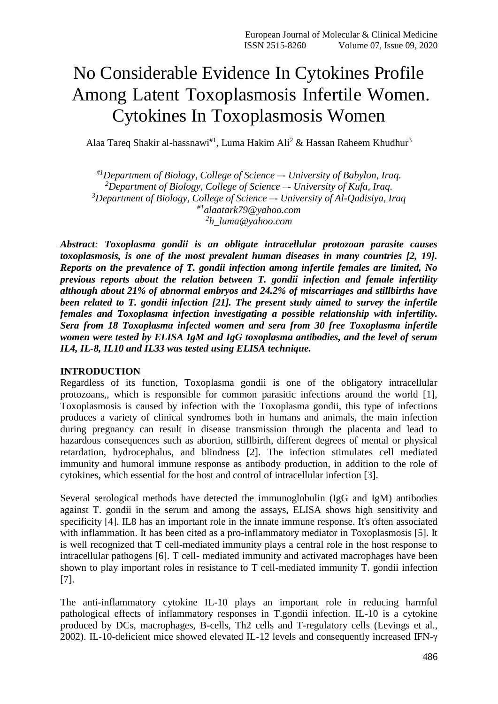# No Considerable Evidence In Cytokines Profile Among Latent Toxoplasmosis Infertile Women. Cytokines In Toxoplasmosis Women

Alaa Tareq Shakir al-hassnawi<sup>#1</sup>, Luma Hakim Ali<sup>2</sup> & Hassan Raheem Khudhur<sup>3</sup>

*#1Department of Biology, College of Science –- University of Babylon, Iraq. <sup>2</sup>Department of Biology, College of Science –- University of Kufa, Iraq. <sup>3</sup>Department of Biology, College of Science –- University of Al-Qadisiya, Iraq #1alaatark79@yahoo.com 2 h\_luma@yahoo.com*

*Abstract: Toxoplasma gondii is an obligate intracellular protozoan parasite causes toxoplasmosis, is one of the most prevalent human diseases in many countries [2, 19]. Reports on the prevalence of T. gondii infection among infertile females are limited, No previous reports about the relation between T. gondii infection and female infertility although about 21% of abnormal embryos and 24.2% of miscarriages and stillbirths have been related to T. gondii infection [21]. The present study aimed to survey the infertile females and Toxoplasma infection investigating a possible relationship with infertility. Sera from 18 Toxoplasma infected women and sera from 30 free Toxoplasma infertile women were tested by ELISA IgM and IgG toxoplasma antibodies, and the level of serum IL4, IL-8, IL10 and IL33 was tested using ELISA technique.*

## **INTRODUCTION**

Regardless of its function, Toxoplasma gondii is one of the obligatory intracellular protozoans,, which is responsible for common parasitic infections around the world [1], Toxoplasmosis is caused by infection with the Toxoplasma gondii, this type of infections produces a variety of clinical syndromes both in humans and animals, the main infection during pregnancy can result in disease transmission through the placenta and lead to hazardous consequences such as abortion, stillbirth, different degrees of mental or physical retardation, hydrocephalus, and blindness [2]. The infection stimulates cell mediated immunity and humoral immune response as antibody production, in addition to the role of cytokines, which essential for the host and control of intracellular infection [3].

Several serological methods have detected the immunoglobulin (IgG and IgM) antibodies against T. gondii in the serum and among the assays, ELISA shows high sensitivity and specificity [4]. IL8 has an important role in the innate immune response. It's often associated with inflammation. It has been cited as a pro-inflammatory mediator in Toxoplasmosis [5]. It is well recognized that T cell-mediated immunity plays a central role in the host response to intracellular pathogens [6]. T cell- mediated immunity and activated macrophages have been shown to play important roles in resistance to T cell-mediated immunity T. gondii infection [7].

The anti-inflammatory cytokine IL-10 plays an important role in reducing harmful pathological effects of inflammatory responses in T.gondii infection. IL-10 is a cytokine produced by DCs, macrophages, B-cells, Th2 cells and T-regulatory cells (Levings et al., 2002). IL-10-deficient mice showed elevated IL-12 levels and consequently increased IFN-γ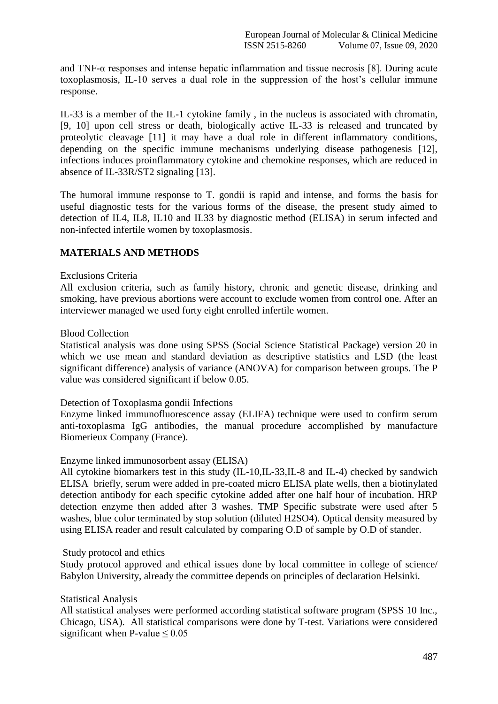and TNF- $\alpha$  responses and intense hepatic inflammation and tissue necrosis [8]. During acute toxoplasmosis, IL-10 serves a dual role in the suppression of the host's cellular immune response.

IL-33 is a member of the IL-1 cytokine family , in the nucleus is associated with chromatin, [9, 10] upon cell stress or death, biologically active IL-33 is released and truncated by proteolytic cleavage [11] it may have a dual role in different inflammatory conditions, depending on the specific immune mechanisms underlying disease pathogenesis [12], infections induces proinflammatory cytokine and chemokine responses, which are reduced in absence of IL-33R/ST2 signaling [13].

The humoral immune response to T. gondii is rapid and intense, and forms the basis for useful diagnostic tests for the various forms of the disease, the present study aimed to detection of IL4, IL8, IL10 and IL33 by diagnostic method (ELISA) in serum infected and non-infected infertile women by toxoplasmosis.

# **MATERIALS AND METHODS**

#### Exclusions Criteria

All exclusion criteria, such as family history, chronic and genetic disease, drinking and smoking, have previous abortions were account to exclude women from control one. After an interviewer managed we used forty eight enrolled infertile women.

#### Blood Collection

Statistical analysis was done using SPSS (Social Science Statistical Package) version 20 in which we use mean and standard deviation as descriptive statistics and LSD (the least significant difference) analysis of variance (ANOVA) for comparison between groups. The P value was considered significant if below 0.05.

Detection of Toxoplasma gondii Infections

Enzyme linked immunofluorescence assay (ELIFA) technique were used to confirm serum anti-toxoplasma IgG antibodies, the manual procedure accomplished by manufacture Biomerieux Company (France).

## Enzyme linked immunosorbent assay (ELISA)

All cytokine biomarkers test in this study (IL-10,IL-33,IL-8 and IL-4) checked by sandwich ELISA briefly, serum were added in pre-coated micro ELISA plate wells, then a biotinylated detection antibody for each specific cytokine added after one half hour of incubation. HRP detection enzyme then added after 3 washes. TMP Specific substrate were used after 5 washes, blue color terminated by stop solution (diluted H2SO4). Optical density measured by using ELISA reader and result calculated by comparing O.D of sample by O.D of stander.

## Study protocol and ethics

Study protocol approved and ethical issues done by local committee in college of science/ Babylon University, already the committee depends on principles of declaration Helsinki.

## Statistical Analysis

All statistical analyses were performed according statistical software program (SPSS 10 Inc., Chicago, USA). All statistical comparisons were done by T-test. Variations were considered significant when P-value  $\leq 0.05$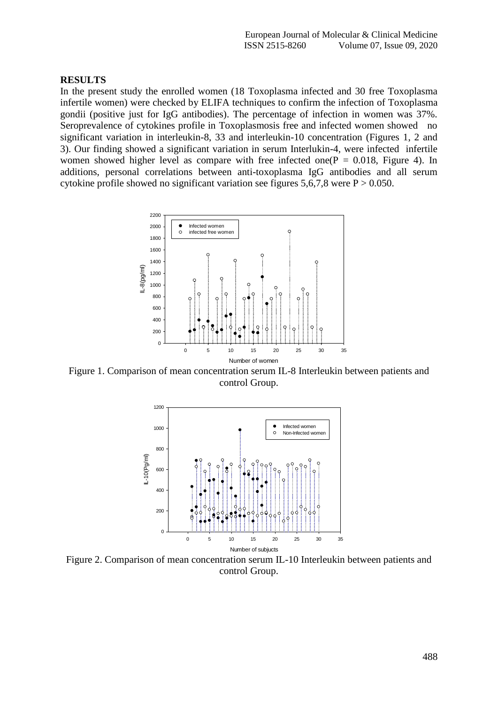#### **RESULTS**

In the present study the enrolled women (18 Toxoplasma infected and 30 free Toxoplasma infertile women) were checked by ELIFA techniques to confirm the infection of Toxoplasma gondii (positive just for IgG antibodies). The percentage of infection in women was 37%. Seroprevalence of cytokines profile in Toxoplasmosis free and infected women showed no significant variation in interleukin-8, 33 and interleukin-10 concentration (Figures 1, 2 and 3). Our finding showed a significant variation in serum Interlukin-4, were infected infertile women showed higher level as compare with free infected one( $P = 0.018$ , Figure 4). In additions, personal correlations between anti-toxoplasma IgG antibodies and all serum cytokine profile showed no significant variation see figures  $5,6,7,8$  were  $P > 0.050$ .



Figure 1. Comparison of mean concentration serum IL-8 Interleukin between patients and control Group.



Figure 2. Comparison of mean concentration serum IL-10 Interleukin between patients and control Group.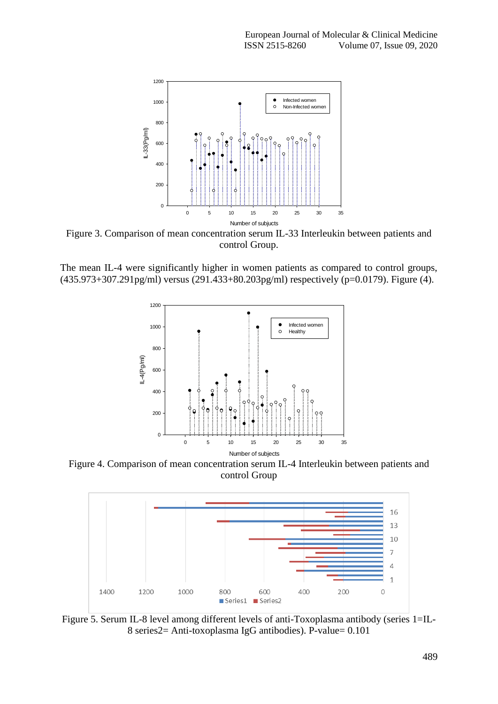

Figure 3. Comparison of mean concentration serum IL-33 Interleukin between patients and control Group.

The mean IL-4 were significantly higher in women patients as compared to control groups, (435.973+307.291pg/ml) versus (291.433+80.203pg/ml) respectively (p=0.0179). Figure (4).



Figure 4. Comparison of mean concentration serum IL-4 Interleukin between patients and control Group



Figure 5. Serum IL-8 level among different levels of anti-Toxoplasma antibody (series 1=IL-8 series2= Anti-toxoplasma IgG antibodies). P-value= 0.101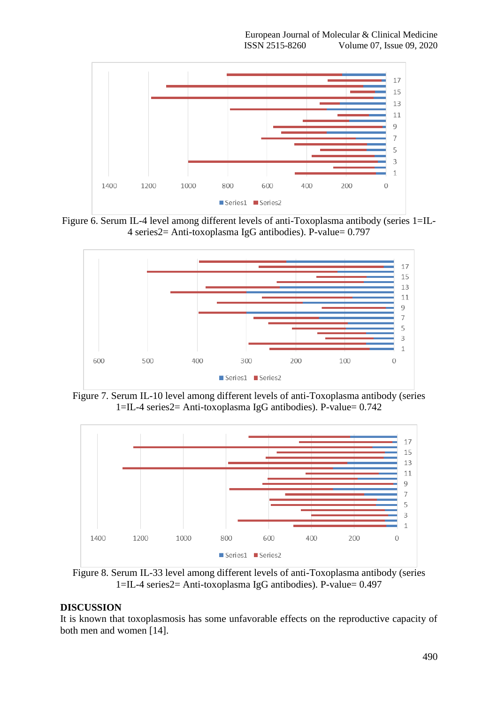

Figure 6. Serum IL-4 level among different levels of anti-Toxoplasma antibody (series 1=IL-4 series2= Anti-toxoplasma IgG antibodies). P-value= 0.797



Figure 7. Serum IL-10 level among different levels of anti-Toxoplasma antibody (series 1=IL-4 series2= Anti-toxoplasma IgG antibodies). P-value= 0.742



Figure 8. Serum IL-33 level among different levels of anti-Toxoplasma antibody (series 1=IL-4 series2= Anti-toxoplasma IgG antibodies). P-value= 0.497

## **DISCUSSION**

It is known that toxoplasmosis has some unfavorable effects on the reproductive capacity of both men and women [14].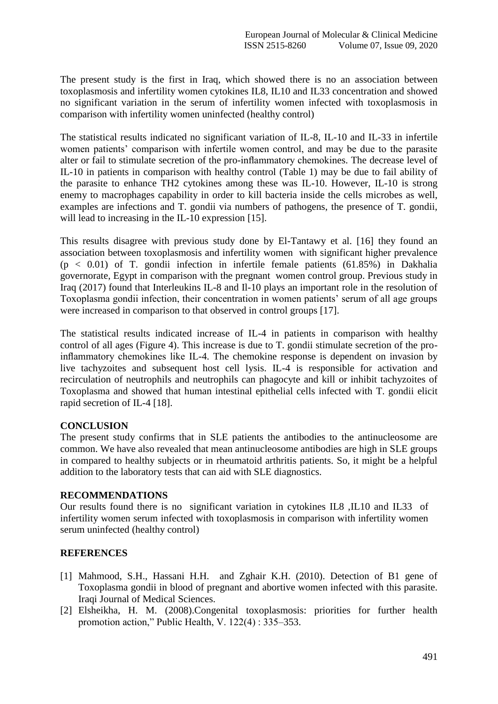The present study is the first in Iraq, which showed there is no an association between toxoplasmosis and infertility women cytokines IL8, IL10 and IL33 concentration and showed no significant variation in the serum of infertility women infected with toxoplasmosis in comparison with infertility women uninfected (healthy control)

The statistical results indicated no significant variation of IL-8, IL-10 and IL-33 in infertile women patients' comparison with infertile women control, and may be due to the parasite alter or fail to stimulate secretion of the pro-inflammatory chemokines. The decrease level of IL-10 in patients in comparison with healthy control (Table 1) may be due to fail ability of the parasite to enhance TH2 cytokines among these was IL-10. However, IL-10 is strong enemy to macrophages capability in order to kill bacteria inside the cells microbes as well, examples are infections and T. gondii via numbers of pathogens, the presence of T. gondii, will lead to increasing in the IL-10 expression [15].

This results disagree with previous study done by El-Tantawy et al. [16] they found an association between toxoplasmosis and infertility women with significant higher prevalence  $(p < 0.01)$  of T. gondii infection in infertile female patients  $(61.85%)$  in Dakhalia governorate, Egypt in comparison with the pregnant women control group. Previous study in Iraq (2017) found that Interleukins IL-8 and Il-10 plays an important role in the resolution of Toxoplasma gondii infection, their concentration in women patients' serum of all age groups were increased in comparison to that observed in control groups [17].

The statistical results indicated increase of IL-4 in patients in comparison with healthy control of all ages (Figure 4). This increase is due to T. gondii stimulate secretion of the proinflammatory chemokines like IL-4. The chemokine response is dependent on invasion by live tachyzoites and subsequent host cell lysis. IL-4 is responsible for activation and recirculation of neutrophils and neutrophils can phagocyte and kill or inhibit tachyzoites of Toxoplasma and showed that human intestinal epithelial cells infected with T. gondii elicit rapid secretion of IL-4 [18].

# **CONCLUSION**

The present study confirms that in SLE patients the antibodies to the antinucleosome are common. We have also revealed that mean antinucleosome antibodies are high in SLE groups in compared to healthy subjects or in rheumatoid arthritis patients. So, it might be a helpful addition to the laboratory tests that can aid with SLE diagnostics.

## **RECOMMENDATIONS**

Our results found there is no significant variation in cytokines IL8 ,IL10 and IL33 of infertility women serum infected with toxoplasmosis in comparison with infertility women serum uninfected (healthy control)

# **REFERENCES**

- [1] Mahmood, S.H., Hassani H.H. and Zghair K.H. (2010). Detection of B1 gene of Toxoplasma gondii in blood of pregnant and abortive women infected with this parasite. Iraqi Journal of Medical Sciences.
- [2] Elsheikha, H. M. (2008).Congenital toxoplasmosis: priorities for further health promotion action," Public Health, V. 122(4) : 335–353.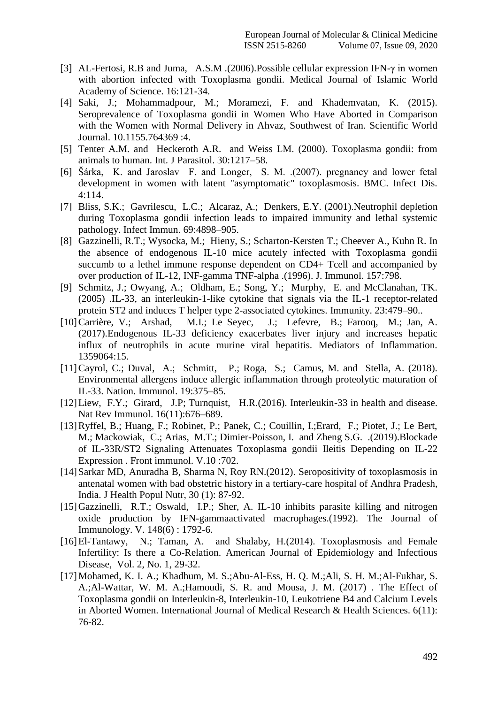- [3] AL-Fertosi, R.B and Juma, A.S.M .(2006).Possible cellular expression IFN-γ in women with abortion infected with Toxoplasma gondii. Medical Journal of Islamic World Academy of Science. 16:121-34.
- [4] Saki, J.; Mohammadpour, M.; Moramezi, F. and Khademvatan, K. (2015). Seroprevalence of Toxoplasma gondii in Women Who Have Aborted in Comparison with the Women with Normal Delivery in Ahvaz, Southwest of Iran. Scientific World Journal. 10.1155.764369 :4.
- [5] Tenter A.M. and Heckeroth A.R. and Weiss LM. (2000). Toxoplasma gondii: from animals to human. Int. J Parasitol. 30:1217–58.
- [6] Šárka, K. and Jaroslav F. and Longer, S. M. .(2007). pregnancy and lower fetal development in women with latent "asymptomatic" toxoplasmosis. BMC. Infect Dis. 4:114.
- [7] Bliss, S.K.; Gavrilescu, L.C.; Alcaraz, A.; Denkers, E.Y. (2001).Neutrophil depletion during Toxoplasma gondii infection leads to impaired immunity and lethal systemic pathology. Infect Immun. 69:4898–905.
- [8] Gazzinelli, R.T.; Wysocka, M.; Hieny, S.; Scharton-Kersten T.; Cheever A., Kuhn R. In the absence of endogenous IL-10 mice acutely infected with Toxoplasma gondii succumb to a lethel immune response dependent on CD4+ Tcell and accompanied by over production of IL-12, INF-gamma TNF-alpha .(1996). J. Immunol. 157:798.
- [9] Schmitz, J.; Owyang, A.; Oldham, E.; Song, Y.; Murphy, E. and McClanahan, TK. (2005) .IL-33, an interleukin-1-like cytokine that signals via the IL-1 receptor-related protein ST2 and induces T helper type 2-associated cytokines. Immunity. 23:479–90..
- [10]Carrière, V.; Arshad, M.I.; Le Seyec, J.; Lefevre, B.; Farooq, M.; Jan, A. (2017).Endogenous IL-33 deficiency exacerbates liver injury and increases hepatic influx of neutrophils in acute murine viral hepatitis. Mediators of Inflammation. 1359064:15.
- [11]Cayrol, C.; Duval, A.; Schmitt, P.; Roga, S.; Camus, M. and Stella, A. (2018). Environmental allergens induce allergic inflammation through proteolytic maturation of IL-33. Nation. Immunol. 19:375–85.
- [12] Liew, F.Y.; Girard, J.P; Turnquist, H.R.(2016). Interleukin-33 in health and disease. Nat Rev Immunol. 16(11):676–689.
- [13]Ryffel, B.; Huang, F.; Robinet, P.; Panek, C.; Couillin, I.;Erard, F.; Piotet, J.; Le Bert, M.; Mackowiak, C.; Arias, M.T.; Dimier-Poisson, I. and Zheng S.G. .(2019).Blockade of IL-33R/ST2 Signaling Attenuates Toxoplasma gondii Ileitis Depending on IL-22 Expression . Front immunol. V.10 :702.
- [14] Sarkar MD, Anuradha B, Sharma N, Roy RN.(2012). Seropositivity of toxoplasmosis in antenatal women with bad obstetric history in a tertiary-care hospital of Andhra Pradesh, India. J Health Popul Nutr, 30 (1): 87-92.
- [15]Gazzinelli, R.T.; Oswald, I.P.; Sher, A. IL-10 inhibits parasite killing and nitrogen oxide production by IFN-gammaactivated macrophages.(1992). The Journal of Immunology. V. 148(6) : 1792-6.
- [16]El-Tantawy, N.; Taman, A. and Shalaby, H.(2014). Toxoplasmosis and Female Infertility: Is there a Co-Relation. American Journal of Epidemiology and Infectious Disease, Vol. 2, No. 1, 29-32.
- [17]Mohamed, K. I. A.; Khadhum, M. S.;Abu-Al-Ess, H. Q. M.;Ali, S. H. M.;Al-Fukhar, S. A.;Al-Wattar, W. M. A.;Hamoudi, S. R. and Mousa, J. M. (2017) . The Effect of Toxoplasma gondii on Interleukin-8, Interleukin-10, Leukotriene B4 and Calcium Levels in Aborted Women. International Journal of Medical Research & Health Sciences. 6(11): 76-82.